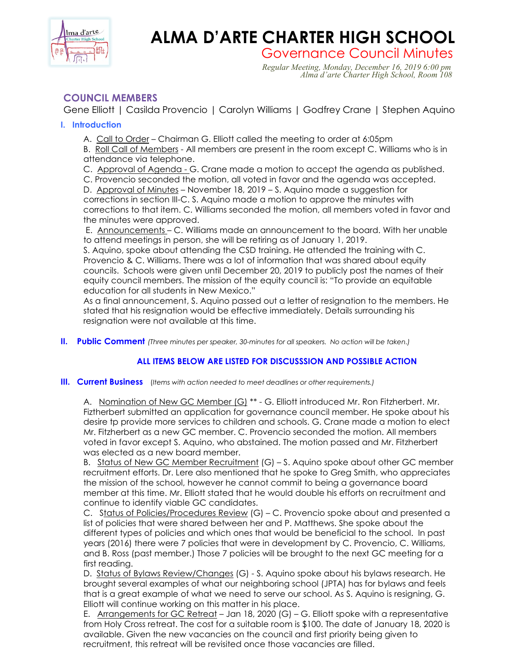

# **ALMA D'ARTE CHARTER HIGH SCHOOL**

Governance Council Minutes<br>*Regular Meeting, Monday, December 16, 2019 6:00 pm*<br>*Alma d'arte Charter High School, Room 108* 

## **COUNCIL MEMBERS**

Gene Elliott | Casilda Provencio | Carolyn Williams | Godfrey Crane | Stephen Aquino

### **I. Introduction**

A. Call to Order – Chairman G. Elliott called the meeting to order at 6:05pm

B. Roll Call of Members - All members are present in the room except C. Williams who is in attendance via telephone.

C. Approval of Agenda - G. Crane made a motion to accept the agenda as published.

C. Provencio seconded the motion, all voted in favor and the agenda was accepted. D. Approval of Minutes - November 18, 2019 - S. Aquino made a suggestion for corrections in section III-C. S. Aquino made a motion to approve the minutes with

corrections to that item. C. Williams seconded the motion, all members voted in favor and the minutes were approved.

E. Announcements – C. Williams made an announcement to the board. With her unable to attend meetings in person, she will be retiring as of January 1, 2019.

S. Aquino, spoke about attending the CSD training. He attended the training with C. Provencio & C. Williams. There was a lot of information that was shared about equity councils. Schools were given until December 20, 2019 to publicly post the names of their equity council members. The mission of the equity council is: "To provide an equitable education for all students in New Mexico."

As a final announcement, S. Aquino passed out a letter of resignation to the members. He stated that his resignation would be effective immediately. Details surrounding his resignation were not available at this time.

**II. Public Comment** *(Three minutes per speaker, 30-minutes for all speakers. No action will be taken.)*

## **ALL ITEMS BELOW ARE LISTED FOR DISCUSSSION AND POSSIBLE ACTION**

#### **III. Current Business** (*Items with action needed to meet deadlines or other requirements.)*

A. Nomination of New GC Member (G) \*\* - G. Elliott introduced Mr. Ron Fitzherbert. Mr. Fiztherbert submitted an application for governance council member. He spoke about his desire tp provide more services to children and schools. G. Crane made a motion to elect Mr. Fitzherbert as a new GC member. C. Provencio seconded the motion. All members voted in favor except S. Aquino, who abstained. The motion passed and Mr. Fitzherbert was elected as a new board member.

B. Status of New GC Member Recruitment (G) - S. Aquino spoke about other GC member recruitment efforts. Dr. Lere also mentioned that he spoke to Greg Smith, who appreciates the mission of the school, however he cannot commit to being a governance board member at this time. Mr. Elliott stated that he would double his efforts on recruitment and continue to identify viable GC candidates.

C. Status of Policies/Procedures Review (G) – C. Provencio spoke about and presented a list of policies that were shared between her and P. Matthews. She spoke about the different types of policies and which ones that would be beneficial to the school. In past years (2016) there were 7 policies that were in development by C. Provencio, C. Williams, and B. Ross (past member.) Those 7 policies will be brought to the next GC meeting for a first reading.

D. Status of Bylaws Review/Changes (G) - S. Aquino spoke about his bylaws research. He brought several examples of what our neighboring school (JPTA) has for bylaws and feels that is a great example of what we need to serve our school. As S. Aquino is resigning, G. Elliott will continue working on this matter in his place.

E. Arrangements for GC Retreat  $-$  Jan 18, 2020 (G)  $-$  G. Elliott spoke with a representative from Holy Cross retreat. The cost for a suitable room is \$100. The date of January 18, 2020 is available. Given the new vacancies on the council and first priority being given to recruitment, this retreat will be revisited once those vacancies are filled.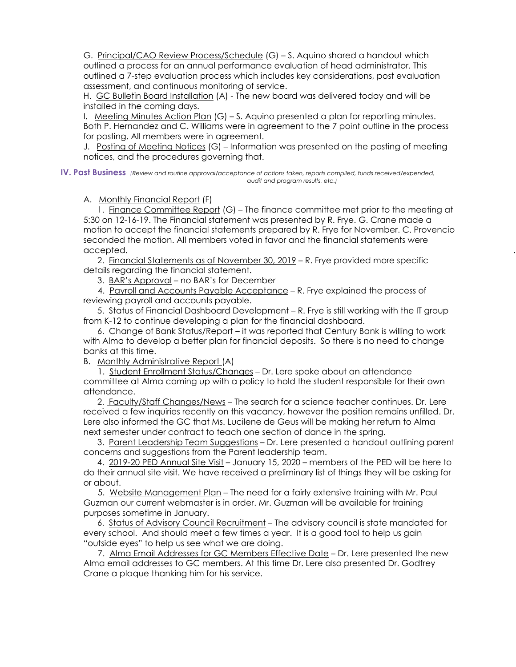G. Principal/CAO Review Process/Schedule (G) – S. Aquino shared a handout which outlined a process for an annual performance evaluation of head administrator. This outlined a 7-step evaluation process which includes key considerations, post evaluation assessment, and continuous monitoring of service.

H. GC Bulletin Board Installation (A) - The new board was delivered today and will be installed in the coming days.

I. Meeting Minutes Action Plan (G) – S. Aquino presented a plan for reporting minutes. Both P. Hernandez and C. Williams were in agreement to the 7 point outline in the process for posting. All members were in agreement.

J. Posting of Meeting Notices (G) – Information was presented on the posting of meeting notices, and the procedures governing that.

**IV. Past Business** *(Review and routine approval/acceptance of actions taken, reports compiled, funds received/expended, audit and program results, etc.)*

A. Monthly Financial Report (F)

 1. Finance Committee Report (G) – The finance committee met prior to the meeting at 5:30 on 12-16-19. The Financial statement was presented by R. Frye. G. Crane made a motion to accept the financial statements prepared by R. Frye for November. C. Provencio seconded the motion. All members voted in favor and the financial statements were accepted. .

 2. Financial Statements as of November 30, 2019 – R. Frye provided more specific details regarding the financial statement.

3. BAR's Approval – no BAR's for December

 4. Payroll and Accounts Payable Acceptance – R. Frye explained the process of reviewing payroll and accounts payable.

 5. Status of Financial Dashboard Development – R. Frye is still working with the IT group from K-12 to continue developing a plan for the financial dashboard.

 6. Change of Bank Status/Report – it was reported that Century Bank is willing to work with Alma to develop a better plan for financial deposits. So there is no need to change banks at this time.

B. Monthly Administrative Report (A)

 1. Student Enrollment Status/Changes – Dr. Lere spoke about an attendance committee at Alma coming up with a policy to hold the student responsible for their own attendance.

 2. Faculty/Staff Changes/News – The search for a science teacher continues. Dr. Lere received a few inquiries recently on this vacancy, however the position remains unfilled. Dr. Lere also informed the GC that Ms. Lucilene de Geus will be making her return to Alma next semester under contract to teach one section of dance in the spring.

 3. Parent Leadership Team Suggestions – Dr. Lere presented a handout outlining parent concerns and suggestions from the Parent leadership team.

4. 2019-20 PED Annual Site Visit – January 15, 2020 – members of the PED will be here to do their annual site visit. We have received a preliminary list of things they will be asking for or about.

 5. Website Management Plan – The need for a fairly extensive training with Mr. Paul Guzman our current webmaster is in order. Mr. Guzman will be available for training purposes sometime in January.

 6. Status of Advisory Council Recruitment – The advisory council is state mandated for every school. And should meet a few times a year. It is a good tool to help us gain "outside eyes" to help us see what we are doing.

 7. Alma Email Addresses for GC Members Effective Date – Dr. Lere presented the new Alma email addresses to GC members. At this time Dr. Lere also presented Dr. Godfrey Crane a plaque thanking him for his service.